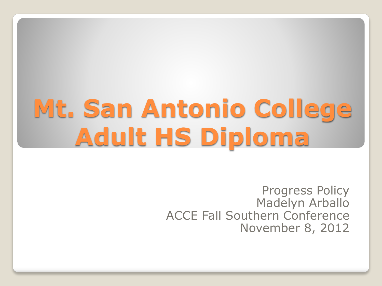# **Mt. San Antonio College Adult HS Diploma**

Progress Policy Madelyn Arballo ACCE Fall Southern Conference November 8, 2012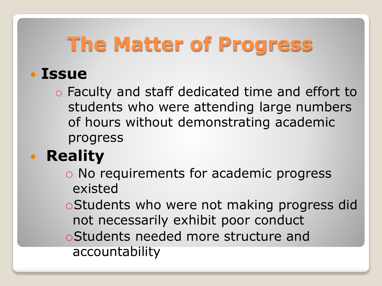### **The Matter of Progress**

#### **Issue**

o Faculty and staff dedicated time and effort to students who were attending large numbers of hours without demonstrating academic progress

### **• Reality**

- o No requirements for academic progress existed
- oStudents who were not making progress did not necessarily exhibit poor conduct
- oStudents needed more structure and accountability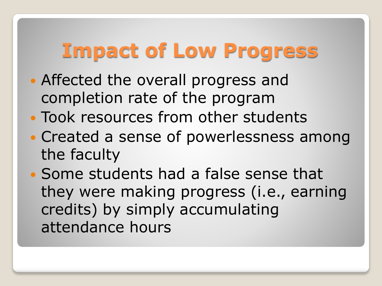### **Impact of Low Progress**

- Affected the overall progress and completion rate of the program
- Took resources from other students
- Created a sense of powerlessness among the faculty
- Some students had a false sense that they were making progress (i.e., earning credits) by simply accumulating attendance hours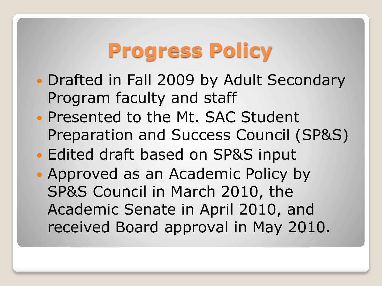### **Progress Policy**

- Drafted in Fall 2009 by Adult Secondary Program faculty and staff
- Presented to the Mt. SAC Student Preparation and Success Council (SP&S)
- Edited draft based on SP&S input
- Approved as an Academic Policy by SP&S Council in March 2010, the Academic Senate in April 2010, and received Board approval in May 2010.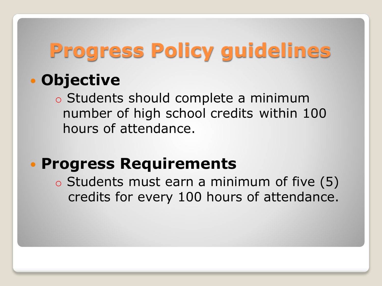# **Progress Policy guidelines**

#### **Objective**

o Students should complete a minimum number of high school credits within 100 hours of attendance.

#### **Progress Requirements**

o Students must earn a minimum of five (5) credits for every 100 hours of attendance.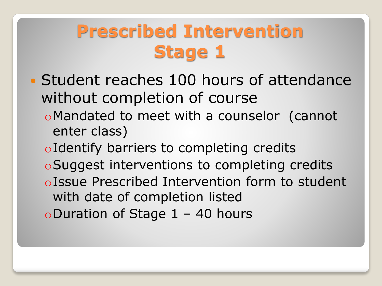### **Prescribed Intervention Stage 1**

- Student reaches 100 hours of attendance without completion of course
	- oMandated to meet with a counselor (cannot enter class)
	- oIdentify barriers to completing credits
	- oSuggest interventions to completing credits
	- oIssue Prescribed Intervention form to student with date of completion listed
	- oDuration of Stage 1 40 hours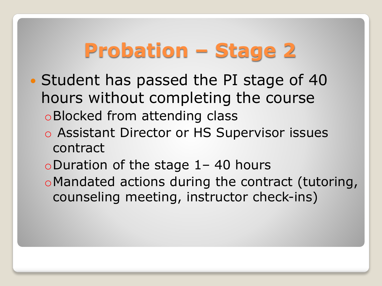# **Probation – Stage 2**

- Student has passed the PI stage of 40 hours without completing the course oBlocked from attending class
	- o Assistant Director or HS Supervisor issues contract
	- oDuration of the stage 1– 40 hours
	- oMandated actions during the contract (tutoring, counseling meeting, instructor check-ins)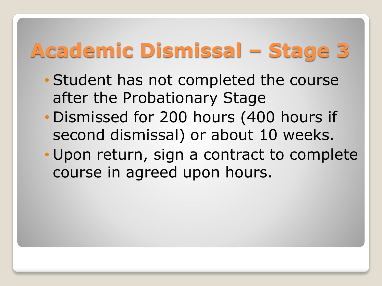# **Academic Dismissal – Stage 3**

- Student has not completed the course after the Probationary Stage
- Dismissed for 200 hours (400 hours if second dismissal) or about 10 weeks.
- Upon return, sign a contract to complete course in agreed upon hours.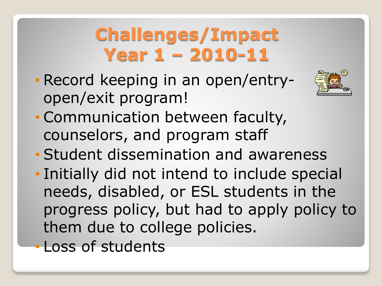### **Challenges/Impact Year 1 – 2010-11**

• Record keeping in an open/entryopen/exit program!



- Communication between faculty, counselors, and program staff
- Student dissemination and awareness
- Initially did not intend to include special needs, disabled, or ESL students in the progress policy, but had to apply policy to them due to college policies.
- Loss of students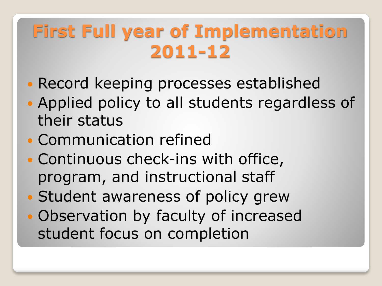### **First Full year of Implementation 2011-12**

- Record keeping processes established
- Applied policy to all students regardless of their status
- Communication refined
- Continuous check-ins with office, program, and instructional staff
- Student awareness of policy grew
- Observation by faculty of increased student focus on completion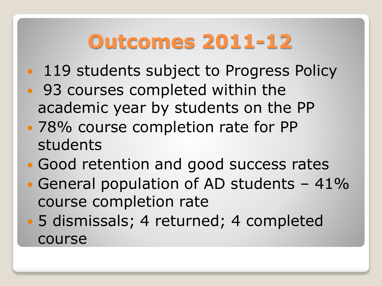# **Outcomes 2011-12**

- 119 students subject to Progress Policy
- 93 courses completed within the academic year by students on the PP
- 78% course completion rate for PP students
- Good retention and good success rates
- General population of AD students 41% course completion rate
- 5 dismissals; 4 returned; 4 completed course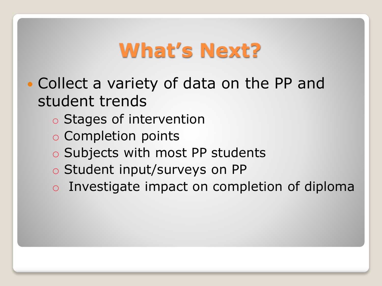### **What's Next?**

- Collect a variety of data on the PP and student trends
	- o Stages of intervention
	- o Completion points
	- o Subjects with most PP students
	- o Student input/surveys on PP
	- o Investigate impact on completion of diploma